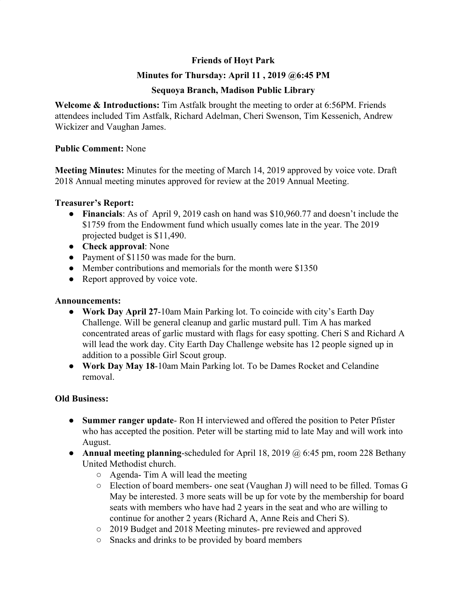# **Friends of Hoyt Park**

## **Minutes for Thursday: April 11 , 2019 @6:45 PM**

## **Sequoya Branch, Madison Public Library**

**Welcome & Introductions:** Tim Astfalk brought the meeting to order at 6:56PM. Friends attendees included Tim Astfalk, Richard Adelman, Cheri Swenson, Tim Kessenich, Andrew Wickizer and Vaughan James.

## **Public Comment:** None

**Meeting Minutes:** Minutes for the meeting of March 14, 2019 approved by voice vote. Draft 2018 Annual meeting minutes approved for review at the 2019 Annual Meeting.

#### **Treasurer's Report:**

- **Financials**: As of April 9, 2019 cash on hand was \$10,960.77 and doesn't include the \$1759 from the Endowment fund which usually comes late in the year. The 2019 projected budget is \$11,490.
- **Check approval**: None
- Payment of \$1150 was made for the burn.
- Member contributions and memorials for the month were \$1350
- Report approved by voice vote.

## **Announcements:**

- **Work Day April 27**-10am Main Parking lot. To coincide with city's Earth Day Challenge. Will be general cleanup and garlic mustard pull. Tim A has marked concentrated areas of garlic mustard with flags for easy spotting. Cheri S and Richard A will lead the work day. City Earth Day Challenge website has 12 people signed up in addition to a possible Girl Scout group.
- **Work Day May 18**-10am Main Parking lot. To be Dames Rocket and Celandine removal.

## **Old Business:**

- **● Summer ranger update** Ron H interviewed and offered the position to Peter Pfister who has accepted the position. Peter will be starting mid to late May and will work into August.
- **● Annual meeting planning**-scheduled for April 18, 2019 @ 6:45 pm, room 228 Bethany United Methodist church.
	- Agenda- Tim A will lead the meeting
	- Election of board members- one seat (Vaughan J) will need to be filled. Tomas G May be interested. 3 more seats will be up for vote by the membership for board seats with members who have had 2 years in the seat and who are willing to continue for another 2 years (Richard A, Anne Reis and Cheri S).
	- 2019 Budget and 2018 Meeting minutes- pre reviewed and approved
	- Snacks and drinks to be provided by board members